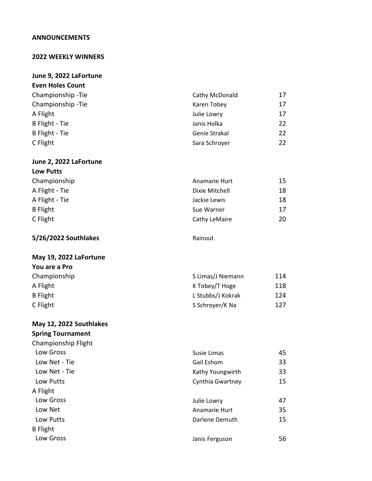## **ANNOUNCEMENTS**

### **2022 WEEKLY WINNERS**

### **June 9, 2022 LaFortune**

| <b>Even Holes Count</b> |                |    |
|-------------------------|----------------|----|
| Championship - Tie      | Cathy McDonald | 17 |
| Championship - Tie      | Karen Tobey    | 17 |
| A Flight                | Julie Lowry    | 17 |
| B Flight - Tie          | Janis Holka    | 22 |
| B Flight - Tie          | Genie Strakal  | 22 |
| C Flight                | Sara Schroyer  | 22 |

## **June 2, 2022 LaFortune Low Putts**

| Championship    | Anamarie Hurt  | 15 |
|-----------------|----------------|----|
| A Flight - Tie  | Dixie Mitchell | 18 |
| A Flight - Tie  | Jackie Lewis   | 18 |
| <b>B</b> Flight | Sue Warner     | 17 |
| C Flight        | Cathy LeMaire  | 20 |

**5/26/2022 Southlakes** Rainout

#### **May 19, 2022 LaFortune You are a Pro**

| TUU di C di Fiu |                   |     |
|-----------------|-------------------|-----|
| Championship    | S Limas/J Niemann | 114 |
| A Flight        | K Tobey/T Hoge    | 118 |
| <b>B</b> Flight | L Stubbs/J Kokrak | 124 |
| C Flight        | S Schroyer/K Na   | 127 |

## **May 12, 2022 Southlakes**

|  | <b>Spring Tournament</b> |
|--|--------------------------|
|--|--------------------------|

| Championship Flight |                  |    |
|---------------------|------------------|----|
| Low Gross           | Susie Limas      | 45 |
| Low Net - Tie       | Gail Eshom       | 33 |
| Low Net - Tie       | Kathy Youngwirth | 33 |
| Low Putts           | Cynthia Gwartney | 15 |
| A Flight            |                  |    |
| Low Gross           | Julie Lowry      | 47 |
| Low Net             | Anamarie Hurt    | 35 |
| Low Putts           | Darlene Demuth   | 15 |
| <b>B</b> Flight     |                  |    |
| Low Gross           | Janis Ferguson   | 56 |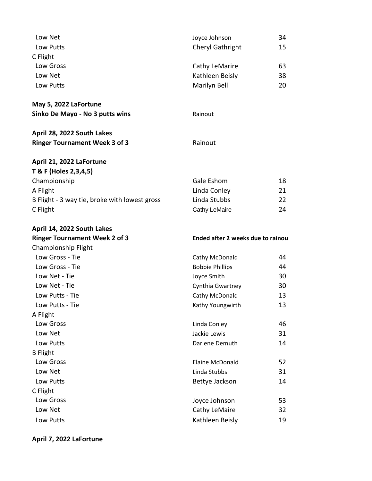| Low Net                                       | Joyce Johnson                     | 34 |
|-----------------------------------------------|-----------------------------------|----|
| Low Putts                                     | Cheryl Gathright                  | 15 |
| C Flight                                      |                                   |    |
| Low Gross                                     | Cathy LeMarire                    | 63 |
| Low Net                                       | Kathleen Beisly                   | 38 |
| Low Putts                                     | Marilyn Bell                      | 20 |
| May 5, 2022 LaFortune                         |                                   |    |
| Sinko De Mayo - No 3 putts wins               | Rainout                           |    |
| April 28, 2022 South Lakes                    |                                   |    |
| <b>Ringer Tournament Week 3 of 3</b>          | Rainout                           |    |
| April 21, 2022 LaFortune                      |                                   |    |
| T & F (Holes 2, 3, 4, 5)                      |                                   |    |
| Championship                                  | Gale Eshom                        | 18 |
| A Flight                                      | Linda Conley                      | 21 |
| B Flight - 3 way tie, broke with lowest gross | Linda Stubbs                      | 22 |
| C Flight                                      | <b>Cathy LeMaire</b>              | 24 |
| April 14, 2022 South Lakes                    |                                   |    |
|                                               |                                   |    |
| <b>Ringer Tournament Week 2 of 3</b>          | Ended after 2 weeks due to rainou |    |
| Championship Flight                           |                                   |    |
| Low Gross - Tie                               | Cathy McDonald                    | 44 |
| Low Gross - Tie                               | <b>Bobbie Phillips</b>            | 44 |
| Low Net - Tie                                 | Joyce Smith                       | 30 |
| Low Net - Tie                                 | Cynthia Gwartney                  | 30 |
| Low Putts - Tie                               | Cathy McDonald                    | 13 |
| Low Putts - Tie                               | Kathy Youngwirth                  | 13 |
| A Flight                                      |                                   |    |
| Low Gross                                     | Linda Conley                      | 46 |
| Low Net                                       | Jackie Lewis                      | 31 |
| Low Putts                                     | Darlene Demuth                    | 14 |
| <b>B</b> Flight                               |                                   |    |
| Low Gross                                     | <b>Elaine McDonald</b>            | 52 |
| Low Net                                       | Linda Stubbs                      | 31 |
| Low Putts                                     | Bettye Jackson                    | 14 |
| C Flight                                      |                                   |    |
| Low Gross                                     | Joyce Johnson                     | 53 |
| Low Net                                       | Cathy LeMaire                     | 32 |

# **April 7, 2022 LaFortune**